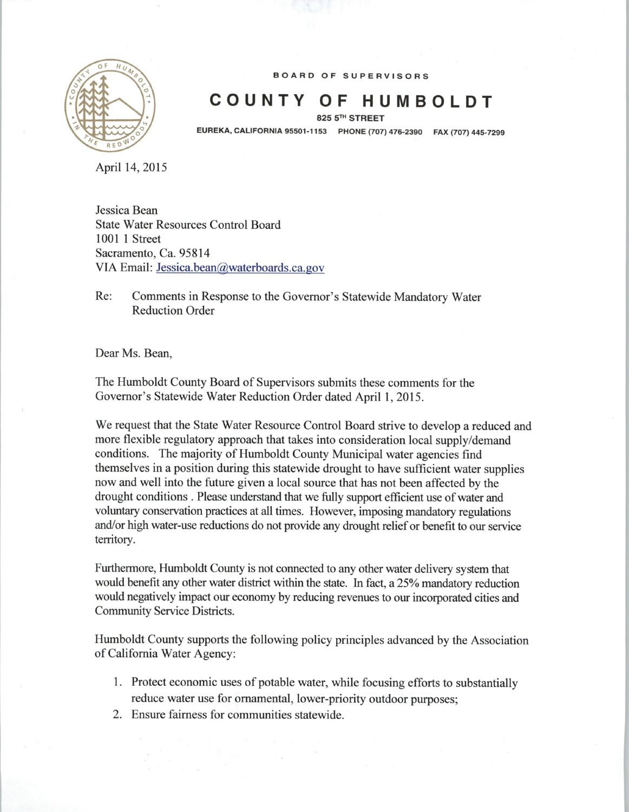

*BOARD OF SUPERVISORS*

## *COUNTY OF HUMBOLDT*

*825 5th STREET*

*EUREKA,CALIFORNIA 95501-1153 PHONE (707) 476-2390 FAX (707) 445-7299*

April 14, 2015

Jessica Bean State Water Resources Control Board 1001 1 Street Sacramento, Ca. 95814 VIA Email: Jessica.bean@waterboards.ca.gov

Re: Comments in Response to the Governor's Statewide Mandatory Water Reduction Order

Dear Ms. Bean,

The Humboldt County Board of Supervisors submits these comments for the Governor's Statewide Water Reduction Order dated April 1, 2015.

We request that the State Water Resource Control Board strive to develop a reduced and more flexible regulatory approach that takes into consideration local supply/demand conditions. The majority of Humboldt County Municipal water agencies find themselves in a position during this statewide drought to have sufficient water supplies now and well into the future given a local source that has not been affected by the drought conditions . Please understand that we fully support efficient use of water and voluntary conservation practices at all times. However, imposing mandatory regulations and/or high water-use reductions do not provide any drought relief or benefit to our service territory.

Furthermore, Humboldt County is not connected to any other water delivery system that would benefit any other water district within the state. In fact, a 25% mandatory reduction would negatively impact our economy by reducing revenues to our incorporated cities and Community Service Districts.

Humboldt County supports the following policy principles advanced by the Association ofCalifornia Water Agency:

- 1. Protect economic uses of potable water, while focusing efforts to substantially reduce water use for ornamental, lower-priority outdoor purposes;
- 2. Ensure fairness for communities statewide.